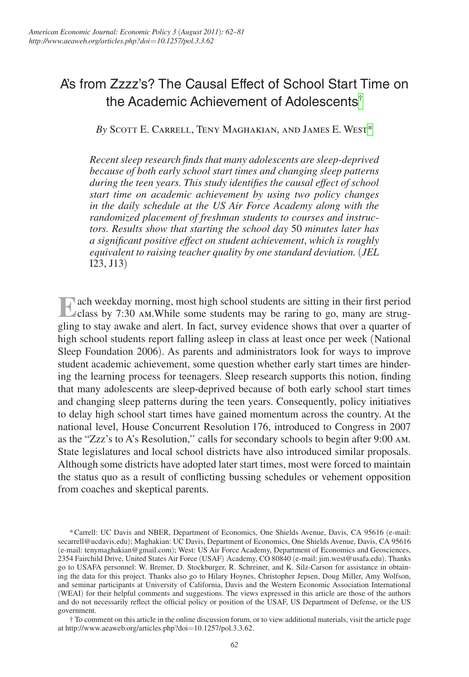# A's from Zzzz's? The Causal Effect of School Start Time on the Academic Achievement of Adolescents[†](#page-0-0)

*By* Scott E. Carrell, Teny Maghakian, and James E. Wes[t\\*](#page-0-1)

*Recent sleep research finds that many adolescents are sleep-deprived because of both early school start times and changing sleep patterns during the teen years. This study identifies the causal effect of school start time on academic achievement by using two policy changes in the daily schedule at the US Air Force Academy along with the randomized placement of freshman students to courses and instructors. Results show that starting the school day* 50 *minutes later has a significant positive effect on student achievement*, *which is roughly equivalent to raising teacher quality by one standard deviation.* (*JEL* I23, J13)

**Each weekday morning, most high school students are sitting in their first period** class by 7:30 am.While some students may be raring to go, many are struggling to stay awake and alert. In fact, survey evidence shows that over a quarter of high school students report falling asleep in class at least once per week (National Sleep Foundation 2006). As parents and administrators look for ways to improve student academic achievement, some question whether early start times are hindering the learning process for teenagers. Sleep research supports this notion, finding that many adolescents are sleep-deprived because of both early school start times and changing sleep patterns during the teen years. Consequently, policy initiatives to delay high school start times have gained momentum across the country. At the national level, House Concurrent Resolution 176, introduced to Congress in 2007 as the "Zzz's to A's Resolution,'' calls for secondary schools to begin after 9:00 am. State legislatures and local school districts have also introduced similar proposals. Although some districts have adopted later start times, most were forced to maintain the status quo as a result of conflicting bussing schedules or vehement opposition from coaches and skeptical parents.

<span id="page-0-1"></span><sup>\*</sup>Carrell: UC Davis and NBER, Department of Economics, One Shields Avenue, Davis, CA 95616 (e-mail: secarrell@ucdavis.edu); Maghakian: UC Davis, Department of Economics, One Shields Avenue, Davis, CA 95616 (e-mail: tenymaghakian@gmail.com); West: US Air Force Academy, Department of Economics and Geosciences, 2354 Fairchild Drive, United States Air Force (USAF) Academy, CO 80840 (e-mail: jim.west@usafa.edu). Thanks go to USAFA personnel: W. Bremer, D. Stockburger, R. Schreiner, and K. Silz-Carson for assistance in obtaining the data for this project. Thanks also go to Hilary Hoynes, Christopher Jepsen, Doug Miller, Amy Wolfson, and seminar participants at University of California, Davis and the Western Economic Association International (WEAI) for their helpful comments and suggestions. The views expressed in this article are those of the authors and do not necessarily reflect the official policy or position of the USAF, US Department of Defense, or the US government.

<span id="page-0-0"></span><sup>†</sup> To comment on this article in the online discussion forum, or to view additional materials, visit the article page at [http://www.aeaweb.org/articles.php?doi](http://www.aeaweb.org/articles.php?doi=10.1257/pol.3.3.62)=10.1257/pol.3.3.62.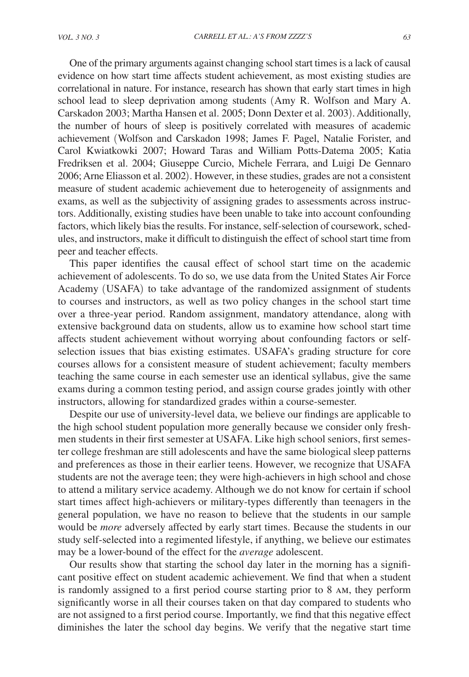One of the primary arguments against changing school start times is a lack of causal evidence on how start time affects student achievement, as most existing studies are correlational in nature. For instance, research has shown that early start times in high school lead to sleep deprivation among students (Amy R. Wolfson and Mary A. Carskadon 2003; Martha Hansen et al. 2005; Donn Dexter et al. 2003). Additionally, the number of hours of sleep is positively correlated with measures of academic achievement (Wolfson and Carskadon 1998; James F. Pagel, Natalie Forister, and Carol Kwiatkowki 2007; Howard Taras and William Potts-Datema 2005; Katia Fredriksen et al. 2004; Giuseppe Curcio, Michele Ferrara, and Luigi De Gennaro 2006; Arne Eliasson et al. 2002). However, in these studies, grades are not a consistent measure of student academic achievement due to heterogeneity of assignments and exams, as well as the subjectivity of assigning grades to assessments across instructors. Additionally, existing studies have been unable to take into account confounding factors, which likely bias the results. For instance, self-selection of coursework, schedules, and instructors, make it difficult to distinguish the effect of school start time from peer and teacher effects.

This paper identifies the causal effect of school start time on the academic achievement of adolescents. To do so, we use data from the United States Air Force Academy (USAFA) to take advantage of the randomized assignment of students to courses and instructors, as well as two policy changes in the school start time over a three-year period. Random assignment, mandatory attendance, along with extensive background data on students, allow us to examine how school start time affects student achievement without worrying about confounding factors or selfselection issues that bias existing estimates. USAFA's grading structure for core courses allows for a consistent measure of student achievement; faculty members teaching the same course in each semester use an identical syllabus, give the same exams during a common testing period, and assign course grades jointly with other instructors, allowing for standardized grades within a course-semester.

Despite our use of university-level data, we believe our findings are applicable to the high school student population more generally because we consider only freshmen students in their first semester at USAFA. Like high school seniors, first semester college freshman are still adolescents and have the same biological sleep patterns and preferences as those in their earlier teens. However, we recognize that USAFA students are not the average teen; they were high-achievers in high school and chose to attend a military service academy. Although we do not know for certain if school start times affect high-achievers or military-types differently than teenagers in the general population, we have no reason to believe that the students in our sample would be *more* adversely affected by early start times. Because the students in our study self-selected into a regimented lifestyle, if anything, we believe our estimates may be a lower-bound of the effect for the *average* adolescent.

Our results show that starting the school day later in the morning has a significant positive effect on student academic achievement. We find that when a student is randomly assigned to a first period course starting prior to 8 am, they perform significantly worse in all their courses taken on that day compared to students who are not assigned to a first period course. Importantly, we find that this negative effect diminishes the later the school day begins. We verify that the negative start time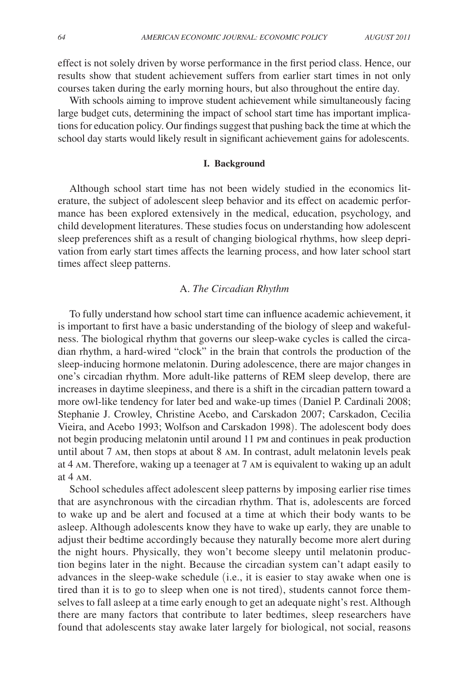<span id="page-2-0"></span>effect is not solely driven by worse performance in the first period class. Hence, our results show that student achievement suffers from earlier start times in not only courses taken during the early morning hours, but also throughout the entire day.

With schools aiming to improve student achievement while simultaneously facing large budget cuts, determining the impact of school start time has important implications for education policy. Our findings suggest that pushing back the time at which the school day starts would likely result in significant achievement gains for adolescents.

#### **I. Background**

Although school start time has not been widely studied in the economics literature, the subject of adolescent sleep behavior and its effect on academic performance has been explored extensively in the medical, education, psychology, and child development literatures. These studies focus on understanding how adolescent sleep preferences shift as a result of changing biological rhythms, how sleep deprivation from early start times affects the learning process, and how later school start times affect sleep patterns.

## A. *The Circadian Rhythm*

To fully understand how school start time can influence academic achievement, it is important to first have a basic understanding of the biology of sleep and wakefulness. The biological rhythm that governs our sleep-wake cycles is called the circadian rhythm, a hard-wired "clock" in the brain that controls the production of the sleep-inducing hormone melatonin. During adolescence, there are major changes in one's circadian rhythm. More adult-like patterns of REM sleep develop, there are increases in daytime sleepiness, and there is a shift in the circadian pattern toward a more owl-like tendency for later bed and wake-up times (Daniel P. Cardinali 2008; Stephanie J. Crowley, Christine Acebo, and Carskadon 2007; Carskadon, Cecilia Vieira, and Acebo 1993; Wolfson and Carskadon 1998). The adolescent body does not begin producing melatonin until around 11 pm and continues in peak production until about 7 am, then stops at about 8 am. In contrast, adult melatonin levels peak at 4 am. Therefore, waking up a teenager at 7 am is equivalent to waking up an adult at 4 am.

School schedules affect adolescent sleep patterns by imposing earlier rise times that are asynchronous with the circadian rhythm. That is, adolescents are forced to wake up and be alert and focused at a time at which their body wants to be asleep. Although adolescents know they have to wake up early, they are unable to adjust their bedtime accordingly because they naturally become more alert during the night hours. Physically, they won't become sleepy until melatonin production begins later in the night. Because the circadian system can't adapt easily to advances in the sleep-wake schedule (i.e., it is easier to stay awake when one is tired than it is to go to sleep when one is not tired), students cannot force themselves to fall asleep at a time early enough to get an adequate night's rest. Although there are many factors that contribute to later bedtimes, sleep researchers have found that adolescents stay awake later largely for biological, not social, reasons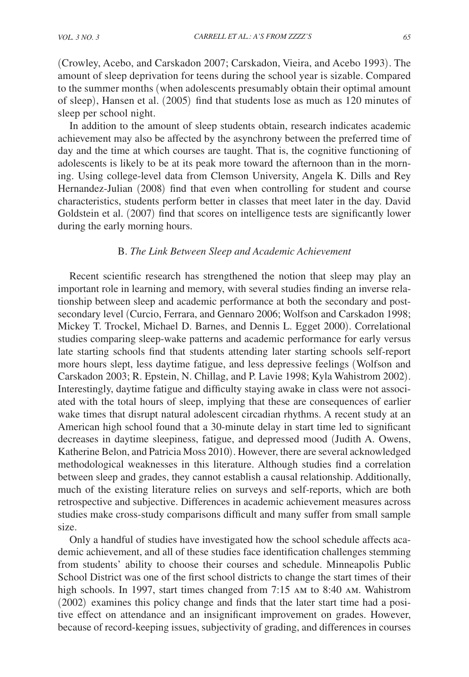<span id="page-3-0"></span>(Crowley, Acebo, and Carskadon 2007; Carskadon, Vieira, and Acebo 1993). The amount of sleep deprivation for teens during the school year is sizable. Compared to the summer months (when adolescents presumably obtain their optimal amount of sleep), Hansen et al. (2005) find that students lose as much as 120 minutes of sleep per school night.

In addition to the amount of sleep students obtain, research indicates academic achievement may also be affected by the asynchrony between the preferred time of day and the time at which courses are taught. That is, the cognitive functioning of adolescents is likely to be at its peak more toward the afternoon than in the morning. Using college-level data from Clemson University, Angela K. Dills and Rey Hernandez-Julian (2008) find that even when controlling for student and course characteristics, students perform better in classes that meet later in the day. David Goldstein et al. (2007) find that scores on intelligence tests are significantly lower during the early morning hours.

## B. *The Link Between Sleep and Academic Achievement*

Recent scientific research has strengthened the notion that sleep may play an important role in learning and memory, with several studies finding an inverse relationship between sleep and academic performance at both the secondary and postsecondary level (Curcio, Ferrara, and Gennaro 2006; Wolfson and Carskadon 1998; Mickey T. Trockel, Michael D. Barnes, and Dennis L. Egget 2000). Correlational studies comparing sleep-wake patterns and academic performance for early versus late starting schools find that students attending later starting schools self-report more hours slept, less daytime fatigue, and less depressive feelings (Wolfson and Carskadon 2003; R. Epstein, N. Chillag, and P. Lavie 1998; Kyla Wahistrom 2002). Interestingly, daytime fatigue and difficulty staying awake in class were not associated with the total hours of sleep, implying that these are consequences of earlier wake times that disrupt natural adolescent circadian rhythms. A recent study at an American high school found that a 30-minute delay in start time led to significant decreases in daytime sleepiness, fatigue, and depressed mood (Judith A. Owens, Katherine Belon, and Patricia Moss 2010). However, there are several acknowledged methodological weaknesses in this literature. Although studies find a correlation between sleep and grades, they cannot establish a causal relationship. Additionally, much of the existing literature relies on surveys and self-reports, which are both retrospective and subjective. Differences in academic achievement measures across studies make cross-study comparisons difficult and many suffer from small sample size.

Only a handful of studies have investigated how the school schedule affects academic achievement, and all of these studies face identification challenges stemming from students' ability to choose their courses and schedule. Minneapolis Public School District was one of the first school districts to change the start times of their high schools. In 1997, start times changed from 7:15 am to 8:40 am. Wahistrom (2002) examines this policy change and finds that the later start time had a positive effect on attendance and an insignificant improvement on grades. However, because of record-keeping issues, subjectivity of grading, and differences in courses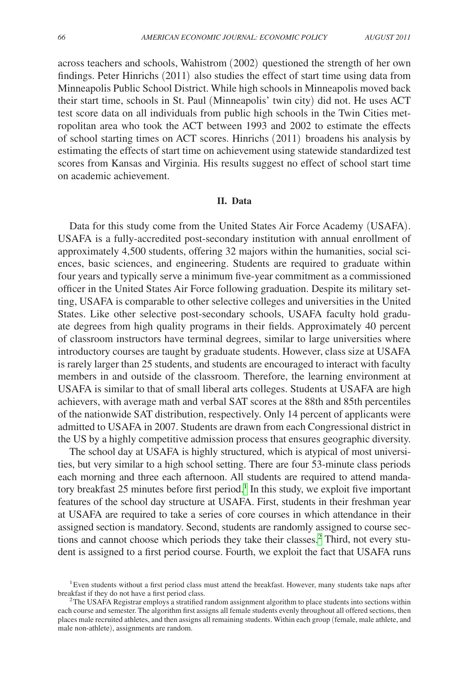<span id="page-4-0"></span>across teachers and schools, Wahistrom (2002) questioned the strength of her own findings. Peter Hinrichs (2011) also studies the effect of start time using data from Minneapolis Public School District. While high schools in Minneapolis moved back their start time, schools in St. Paul (Minneapolis' twin city) did not. He uses ACT test score data on all individuals from public high schools in the Twin Cities metropolitan area who took the ACT between 1993 and 2002 to estimate the effects of school starting times on ACT scores. Hinrichs (2011) broadens his analysis by estimating the effects of start time on achievement using statewide standardized test scores from Kansas and Virginia. His results suggest no effect of school start time on academic achievement.

#### **II. Data**

Data for this study come from the United States Air Force Academy (USAFA). USAFA is a fully-accredited post-secondary institution with annual enrollment of approximately 4,500 students, offering 32 majors within the humanities, social sciences, basic sciences, and engineering. Students are required to graduate within four years and typically serve a minimum five-year commitment as a commissioned officer in the United States Air Force following graduation. Despite its military setting, USAFA is comparable to other selective colleges and universities in the United States. Like other selective post-secondary schools, USAFA faculty hold graduate degrees from high quality programs in their fields. Approximately 40 percent of classroom instructors have terminal degrees, similar to large universities where introductory courses are taught by graduate students. However, class size at USAFA is rarely larger than 25 students, and students are encouraged to interact with faculty members in and outside of the classroom. Therefore, the learning environment at USAFA is similar to that of small liberal arts colleges. Students at USAFA are high achievers, with average math and verbal SAT scores at the 88th and 85th percentiles of the nationwide SAT distribution, respectively. Only 14 percent of applicants were admitted to USAFA in 2007. Students are drawn from each Congressional district in the US by a highly competitive admission process that ensures geographic diversity.

The school day at USAFA is highly structured, which is atypical of most universities, but very similar to a high school setting. There are four 53-minute class periods each morning and three each afternoon. All students are required to attend mandatory breakfast  $25$  minutes before first period.<sup>1</sup> In this study, we exploit five important features of the school day structure at USAFA. First, students in their freshman year at USAFA are required to take a series of core courses in which attendance in their assigned section is mandatory. Second, students are randomly assigned to course sec-tions and cannot choose which periods they take their classes.<sup>[2](#page-4-2)</sup> Third, not every student is assigned to a first period course. Fourth, we exploit the fact that USAFA runs

<span id="page-4-1"></span><sup>&</sup>lt;sup>1</sup>Even students without a first period class must attend the breakfast. However, many students take naps after breakfast if they do not have a first period class.

<span id="page-4-2"></span> $<sup>2</sup>$ The USAFA Registrar employs a stratified random assignment algorithm to place students into sections within</sup> each course and semester. The algorithm first assigns all female students evenly throughout all offered sections, then places male recruited athletes, and then assigns all remaining students. Within each group (female, male athlete, and male non-athlete), assignments are random.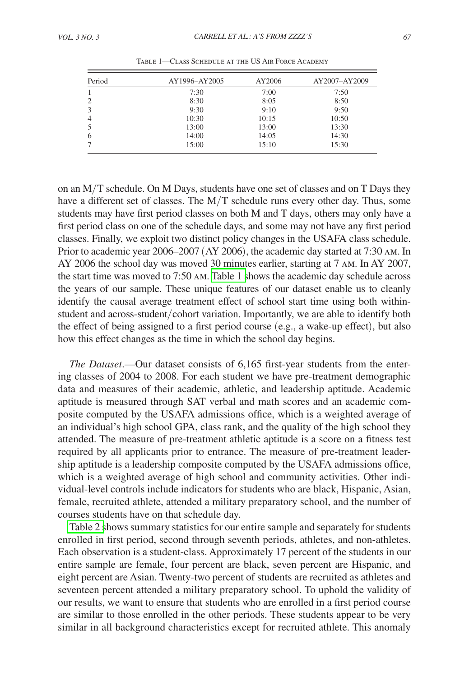| Period         | AY1996-AY2005 | AY2006 | AY2007-AY2009 |
|----------------|---------------|--------|---------------|
|                | 7:30          | 7:00   | 7:50          |
| $\overline{2}$ | 8:30          | 8:05   | 8:50          |
| 3              | 9:30          | 9:10   | 9:50          |
| $\overline{4}$ | 10:30         | 10:15  | 10:50         |
| 5              | 13:00         | 13:00  | 13:30         |
| 6              | 14:00         | 14:05  | 14:30         |
|                | 15:00         | 15:10  | 15:30         |

Table 1—Class Schedule at the US Air Force Academy

on an M/T schedule. On M Days, students have one set of classes and on T Days they have a different set of classes. The M/T schedule runs every other day. Thus, some students may have first period classes on both M and T days, others may only have a first period class on one of the schedule days, and some may not have any first period classes. Finally, we exploit two distinct policy changes in the USAFA class schedule. Prior to academic year 2006–2007 (AY 2006), the academic day started at 7:30 am. In AY 2006 the school day was moved 30 minutes earlier, starting at 7 am. In AY 2007, the start time was moved to 7:50 am. Table 1 shows the academic day schedule across the years of our sample. These unique features of our dataset enable us to cleanly identify the causal average treatment effect of school start time using both withinstudent and across-student/cohort variation. Importantly, we are able to identify both the effect of being assigned to a first period course (e.g., a wake-up effect), but also how this effect changes as the time in which the school day begins.

*The Dataset*.—Our dataset consists of 6,165 first-year students from the entering classes of 2004 to 2008. For each student we have pre-treatment demographic data and measures of their academic, athletic, and leadership aptitude. Academic aptitude is measured through SAT verbal and math scores and an academic composite computed by the USAFA admissions office, which is a weighted average of an individual's high school GPA, class rank, and the quality of the high school they attended. The measure of pre-treatment athletic aptitude is a score on a fitness test required by all applicants prior to entrance. The measure of pre-treatment leadership aptitude is a leadership composite computed by the USAFA admissions office, which is a weighted average of high school and community activities. Other individual-level controls include indicators for students who are black, Hispanic, Asian, female, recruited athlete, attended a military preparatory school, and the number of courses students have on that schedule day.

[Table 2 s](#page-6-0)hows summary statistics for our entire sample and separately for students enrolled in first period, second through seventh periods, athletes, and non-athletes. Each observation is a student-class. Approximately 17 percent of the students in our entire sample are female, four percent are black, seven percent are Hispanic, and eight percent are Asian. Twenty-two percent of students are recruited as athletes and seventeen percent attended a military preparatory school. To uphold the validity of our results, we want to ensure that students who are enrolled in a first period course are similar to those enrolled in the other periods. These students appear to be very similar in all background characteristics except for recruited athlete. This anomaly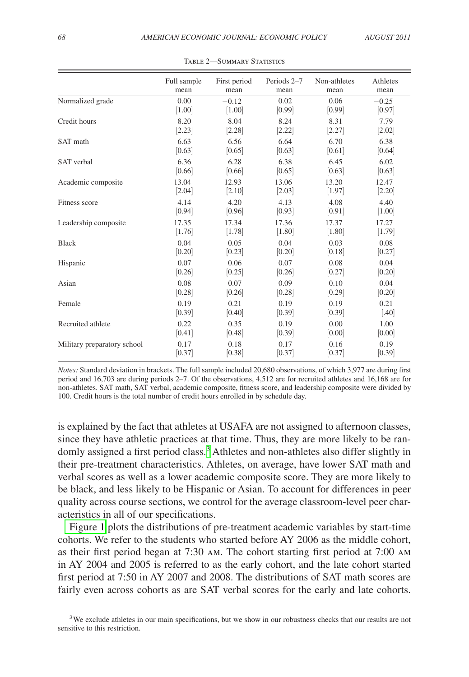<span id="page-6-0"></span>

|                             | Full sample | First period        | Periods 2-7 | Non-athletes | Athletes |
|-----------------------------|-------------|---------------------|-------------|--------------|----------|
|                             | mean        | mean                | mean        | mean         | mean     |
| Normalized grade            | 0.00        | $-0.12$             | 0.02        | 0.06         | $-0.25$  |
|                             | [1.00]      | $\left[1.00\right]$ | [0.99]      | [0.99]       | [0.97]   |
| Credit hours                | 8.20        | 8.04                | 8.24        | 8.31         | 7.79     |
|                             | [2.23]      | [2.28]              | [2.22]      | [2.27]       | [2.02]   |
| SAT math                    | 6.63        | 6.56                | 6.64        | 6.70         | 6.38     |
|                             | [0.63]      | [0.65]              | [0.63]      | [0.61]       | [0.64]   |
| SAT verbal                  | 6.36        | 6.28                | 6.38        | 6.45         | 6.02     |
|                             | [0.66]      | [0.66]              | [0.65]      | [0.63]       | [0.63]   |
| Academic composite          | 13.04       | 12.93               | 13.06       | 13.20        | 12.47    |
|                             | [2.04]      | [2.10]              | [2.03]      | [1.97]       | [2.20]   |
| Fitness score               | 4.14        | 4.20                | 4.13        | 4.08         | 4.40     |
|                             | [0.94]      | [0.96]              | [0.93]      | [0.91]       | [1.00]   |
| Leadership composite        | 17.35       | 17.34               | 17.36       | 17.37        | 17.27    |
|                             | $[1.76]$    | $[1.78]$            | [1.80]      | [1.80]       | [1.79]   |
| <b>Black</b>                | 0.04        | 0.05                | 0.04        | 0.03         | 0.08     |
|                             | [0.20]      | [0.23]              | [0.20]      | [0.18]       | [0.27]   |
| Hispanic                    | 0.07        | 0.06                | 0.07        | 0.08         | 0.04     |
|                             | [0.26]      | [0.25]              | [0.26]      | [0.27]       | [0.20]   |
| Asian                       | 0.08        | 0.07                | 0.09        | 0.10         | 0.04     |
|                             | [0.28]      | [0.26]              | [0.28]      | [0.29]       | [0.20]   |
| Female                      | 0.19        | 0.21                | 0.19        | 0.19         | 0.21     |
|                             | [0.39]      | [0.40]              | [0.39]      | [0.39]       | $[.40]$  |
| Recruited athlete           | 0.22        | 0.35                | 0.19        | 0.00         | 1.00     |
|                             | [0.41]      | [0.48]              | [0.39]      | [0.00]       | [0.00]   |
| Military preparatory school | 0.17        | 0.18                | 0.17        | 0.16         | 0.19     |
|                             | [0.37]      | [0.38]              | [0.37]      | [0.37]       | [0.39]   |

Table 2—Summary Statistics

*Notes:* Standard deviation in brackets. The full sample included 20,680 observations, of which 3,977 are during first period and 16,703 are during periods 2–7. Of the observations, 4,512 are for recruited athletes and 16,168 are for non-athletes. SAT math, SAT verbal, academic composite, fitness score, and leadership composite were divided by 100. Credit hours is the total number of credit hours enrolled in by schedule day.

is explained by the fact that athletes at USAFA are not assigned to afternoon classes, since they have athletic practices at that time. Thus, they are more likely to be ran-domly assigned a first period class.<sup>[3](#page-6-1)</sup> Athletes and non-athletes also differ slightly in their pre-treatment characteristics. Athletes, on average, have lower SAT math and verbal scores as well as a lower academic composite score. They are more likely to be black, and less likely to be Hispanic or Asian. To account for differences in peer quality across course sections, we control for the average classroom-level peer characteristics in all of our specifications.

[Figure 1](#page-7-0) plots the distributions of pre-treatment academic variables by start-time cohorts. We refer to the students who started before AY 2006 as the middle cohort, as their first period began at 7:30 am. The cohort starting first period at 7:00 am in AY 2004 and 2005 is referred to as the early cohort, and the late cohort started first period at 7:50 in AY 2007 and 2008. The distributions of SAT math scores are fairly even across cohorts as are SAT verbal scores for the early and late cohorts.

<span id="page-6-1"></span><sup>3</sup>We exclude athletes in our main specifications, but we show in our robustness checks that our results are not sensitive to this restriction.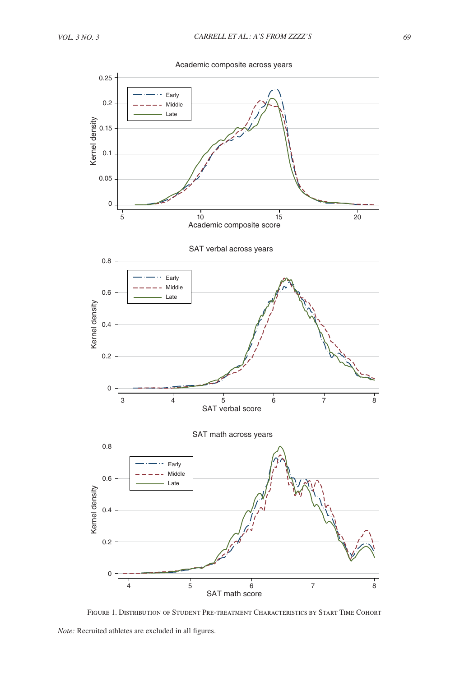

<span id="page-7-0"></span>

Figure 1. Distribution of Student Pre-treatment Characteristics by Start Time Cohort

*Note:* Recruited athletes are excluded in all figures.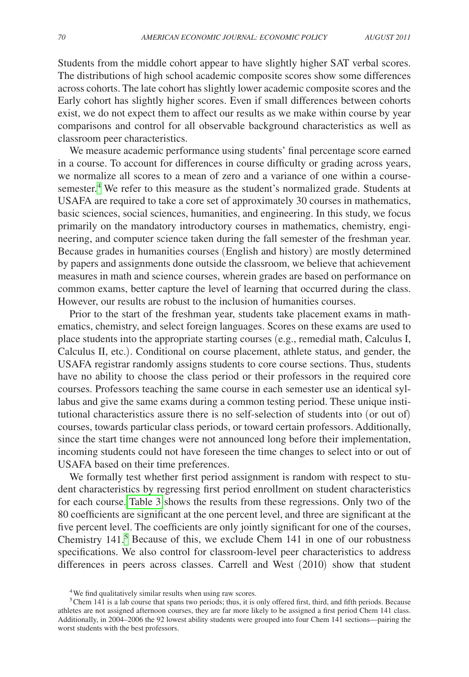Students from the middle cohort appear to have slightly higher SAT verbal scores. The distributions of high school academic composite scores show some differences across cohorts. The late cohort has slightly lower academic composite scores and the Early cohort has slightly higher scores. Even if small differences between cohorts exist, we do not expect them to affect our results as we make within course by year comparisons and control for all observable background characteristics as well as classroom peer characteristics.

We measure academic performance using students' final percentage score earned in a course. To account for differences in course difficulty or grading across years, we normalize all scores to a mean of zero and a variance of one within a course-semester.<sup>[4](#page-8-0)</sup> We refer to this measure as the student's normalized grade. Students at USAFA are required to take a core set of approximately 30 courses in mathematics, basic sciences, social sciences, humanities, and engineering. In this study, we focus primarily on the mandatory introductory courses in mathematics, chemistry, engineering, and computer science taken during the fall semester of the freshman year. Because grades in humanities courses (English and history) are mostly determined by papers and assignments done outside the classroom, we believe that achievement measures in math and science courses, wherein grades are based on performance on common exams, better capture the level of learning that occurred during the class. However, our results are robust to the inclusion of humanities courses.

Prior to the start of the freshman year, students take placement exams in mathematics, chemistry, and select foreign languages. Scores on these exams are used to place students into the appropriate starting courses (e.g., remedial math, Calculus I, Calculus II, etc.). Conditional on course placement, athlete status, and gender, the USAFA registrar randomly assigns students to core course sections. Thus, students have no ability to choose the class period or their professors in the required core courses. Professors teaching the same course in each semester use an identical syllabus and give the same exams during a common testing period. These unique institutional characteristics assure there is no self-selection of students into (or out of) courses, towards particular class periods, or toward certain professors. Additionally, since the start time changes were not announced long before their implementation, incoming students could not have foreseen the time changes to select into or out of USAFA based on their time preferences.

We formally test whether first period assignment is random with respect to student characteristics by regressing first period enrollment on student characteristics for each course. [Table 3](#page-9-0) shows the results from these regressions. Only two of the 80 coefficients are significant at the one percent level, and three are significant at the five percent level. The coefficients are only jointly significant for one of the courses, Chemistry 141.<sup>[5](#page-8-1)</sup> Because of this, we exclude Chem 141 in one of our robustness specifications. We also control for classroom-level peer characteristics to address differences in peers across classes. Carrell and West (2010) show that student

<span id="page-8-1"></span><span id="page-8-0"></span><sup>&</sup>lt;sup>4</sup>We find qualitatively similar results when using raw scores.

<sup>5</sup>Chem 141 is a lab course that spans two periods; thus, it is only offered first, third, and fifth periods. Because athletes are not assigned afternoon courses, they are far more likely to be assigned a first period Chem 141 class. Additionally, in 2004–2006 the 92 lowest ability students were grouped into four Chem 141 sections—pairing the worst students with the best professors.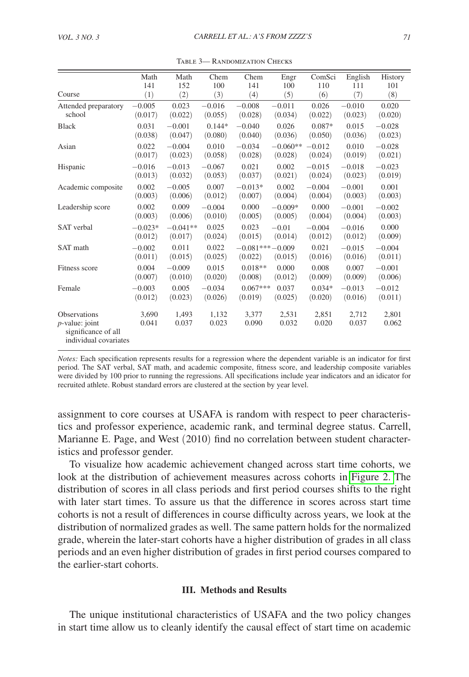<span id="page-9-0"></span>

|                                              | Math      | Math       | Chem     | Chem              | Engr       | ComSci   | English  | History  |
|----------------------------------------------|-----------|------------|----------|-------------------|------------|----------|----------|----------|
|                                              | 141       | 152        | 100      | 141               | 100        | 110      | 111      | 101      |
| Course                                       | (1)       | (2)        | (3)      | (4)               | (5)        | (6)      | (7)      | (8)      |
| Attended preparatory                         | $-0.005$  | 0.023      | $-0.016$ | $-0.008$          | $-0.011$   | 0.026    | $-0.010$ | 0.020    |
| school                                       | (0.017)   | (0.022)    | (0.055)  | (0.028)           | (0.034)    | (0.022)  | (0.023)  | (0.020)  |
| <b>Black</b>                                 | 0.031     | $-0.001$   | $0.144*$ | $-0.040$          | 0.026      | $0.087*$ | 0.015    | $-0.028$ |
|                                              | (0.038)   | (0.047)    | (0.080)  | (0.040)           | (0.036)    | (0.050)  | (0.036)  | (0.023)  |
| Asian                                        | 0.022     | $-0.004$   | 0.010    | $-0.034$          | $-0.060**$ | $-0.012$ | 0.010    | $-0.028$ |
|                                              | (0.017)   | (0.023)    | (0.058)  | (0.028)           | (0.028)    | (0.024)  | (0.019)  | (0.021)  |
| Hispanic                                     | $-0.016$  | $-0.013$   | $-0.067$ | 0.021             | 0.002      | $-0.015$ | $-0.018$ | $-0.023$ |
|                                              | (0.013)   | (0.032)    | (0.053)  | (0.037)           | (0.021)    | (0.024)  | (0.023)  | (0.019)  |
| Academic composite                           | 0.002     | $-0.005$   | 0.007    | $-0.013*$         | 0.002      | $-0.004$ | $-0.001$ | 0.001    |
|                                              | (0.003)   | (0.006)    | (0.012)  | (0.007)           | (0.004)    | (0.004)  | (0.003)  | (0.003)  |
| Leadership score                             | 0.002     | 0.009      | $-0.004$ | 0.000             | $-0.009*$  | 0.000    | $-0.001$ | $-0.002$ |
|                                              | (0.003)   | (0.006)    | (0.010)  | (0.005)           | (0.005)    | (0.004)  | (0.004)  | (0.003)  |
| SAT verbal                                   | $-0.023*$ | $-0.041**$ | 0.025    | 0.023             | $-0.01$    | $-0.004$ | $-0.016$ | 0.000    |
|                                              | (0.012)   | (0.017)    | (0.024)  | (0.015)           | (0.014)    | (0.012)  | (0.012)  | (0.009)  |
| SAT math                                     | $-0.002$  | 0.011      | 0.022    | $-0.081***-0.009$ |            | 0.021    | $-0.015$ | $-0.004$ |
|                                              | (0.011)   | (0.015)    | (0.025)  | (0.022)           | (0.015)    | (0.016)  | (0.016)  | (0.011)  |
| Fitness score                                | 0.004     | $-0.009$   | 0.015    | $0.018**$         | 0.000      | 0.008    | 0.007    | $-0.001$ |
|                                              | (0.007)   | (0.010)    | (0.020)  | (0.008)           | (0.012)    | (0.009)  | (0.009)  | (0.006)  |
| Female                                       | $-0.003$  | 0.005      | $-0.034$ | $0.067***$        | 0.037      | $0.034*$ | $-0.013$ | $-0.012$ |
|                                              | (0.012)   | (0.023)    | (0.026)  | (0.019)           | (0.025)    | (0.020)  | (0.016)  | (0.011)  |
|                                              |           |            |          |                   |            |          |          |          |
| <b>Observations</b>                          | 3,690     | 1,493      | 1,132    | 3,377             | 2,531      | 2,851    | 2,712    | 2,801    |
| $p$ -value: joint                            | 0.041     | 0.037      | 0.023    | 0.090             | 0.032      | 0.020    | 0.037    | 0.062    |
| significance of all<br>individual covariates |           |            |          |                   |            |          |          |          |
|                                              |           |            |          |                   |            |          |          |          |

TABLE 3- RANDOMIZATION CHECKS

*Notes:* Each specification represents results for a regression where the dependent variable is an indicator for first period. The SAT verbal, SAT math, and academic composite, fitness score, and leadership composite variables were divided by 100 prior to running the regressions. All specifications include year indicators and an idicator for recruited athlete. Robust standard errors are clustered at the section by year level.

assignment to core courses at USAFA is random with respect to peer characteristics and professor experience, academic rank, and terminal degree status. Carrell, Marianne E. Page, and West (2010) find no correlation between student characteristics and professor gender.

To visualize how academic achievement changed across start time cohorts, we look at the distribution of achievement measures across cohorts in [Figure 2.](#page-10-0) The distribution of scores in all class periods and first period courses shifts to the right with later start times. To assure us that the difference in scores across start time cohorts is not a result of differences in course difficulty across years, we look at the distribution of normalized grades as well. The same pattern holds for the normalized grade, wherein the later-start cohorts have a higher distribution of grades in all class periods and an even higher distribution of grades in first period courses compared to the earlier-start cohorts.

### **III. Methods and Results**

The unique institutional characteristics of USAFA and the two policy changes in start time allow us to cleanly identify the causal effect of start time on academic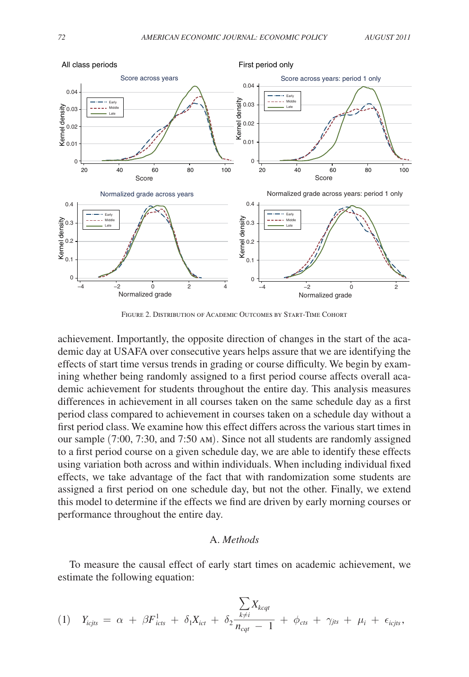<span id="page-10-0"></span>

Figure 2. Distribution of Academic Outcomes by Start-Time Cohort

achievement. Importantly, the opposite direction of changes in the start of the academic day at USAFA over consecutive years helps assure that we are identifying the effects of start time versus trends in grading or course difficulty. We begin by examining whether being randomly assigned to a first period course affects overall academic achievement for students throughout the entire day. This analysis measures differences in achievement in all courses taken on the same schedule day as a first period class compared to achievement in courses taken on a schedule day without a first period class. We examine how this effect differs across the various start times in our sample (7:00, 7:30, and 7:50 am). Since not all students are randomly assigned to a first period course on a given schedule day, we are able to identify these effects using variation both across and within individuals. When including individual fixed effects, we take advantage of the fact that with randomization some students are assigned a first period on one schedule day, but not the other. Finally, we extend this model to determine if the effects we find are driven by early morning courses or performance throughout the entire day.

#### A. *Methods*

To measure the causal effect of early start times on academic achievement, we estimate the following equation:

$$
\text{(1)} \quad Y_{\text{icjts}} = \alpha + \beta F_{\text{icts}}^1 + \delta_1 X_{\text{ict}} + \delta_2 \frac{\sum_{k \neq i} X_{\text{icqt}}}{n_{\text{cqt}}} + \phi_{\text{cts}} + \gamma_{\text{jts}} + \mu_i + \epsilon_{\text{icjts}},
$$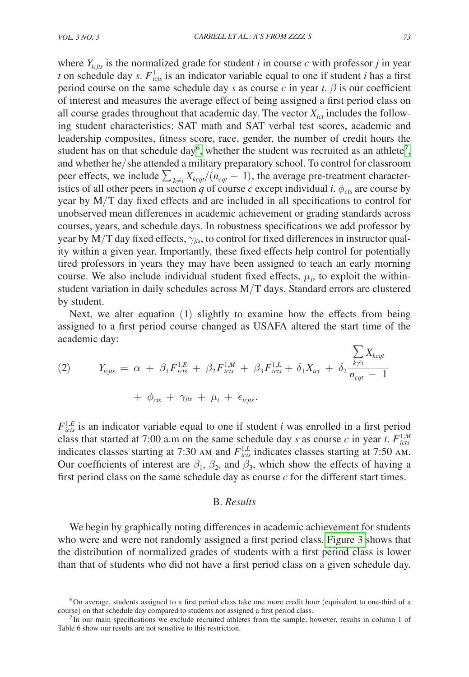<span id="page-11-0"></span>where  $Y_{\text{icits}}$  is the normalized grade for student *i* in course *c* with professor *j* in year *t* on schedule day *s*.  $F_{icts}^1$  is an indicator variable equal to one if student *i* has a first period course on the same schedule day *s* as course *c* in year *t*. β is our coefficient of interest and measures the average effect of being assigned a first period class on all course grades throughout that academic day. The vector  $X_{ict}$  includes the following student characteristics: SAT math and SAT verbal test scores, academic and leadership composites, fitness score, race, gender, the number of credit hours the student has on that schedule day<sup>6</sup>[,](#page-11-1) whether the student was recruited as an athlete<sup>[7](#page-11-2)</sup>, and whether he/she attended a military preparatory school. To control for classroom peer effects, we include  $\sum_{k \neq i} X_{kcq} / (n_{cq} - 1)$ , the average pre-treatment characteristics of all other peers in section *q* of course *c* except individual *i*.  $\phi_{cts}$  are course by year by M/T day fixed effects and are included in all specifications to control for unobserved mean differences in academic achievement or grading standards across courses, years, and schedule days. In robustness specifications we add professor by year by M/T day fixed effects, γ*jts*, to control for fixed differences in instructor quality within a given year. Importantly, these fixed effects help control for potentially tired professors in years they may have been assigned to teach an early morning course. We also include individual student fixed effects,  $\mu_i$ , to exploit the withinstudent variation in daily schedules across M/T days. Standard errors are clustered by student.

Next, we alter equation (1) slightly to examine how the effects from being assigned to a first period course changed as USAFA altered the start time of the academic day:

assigned to a first period course changed as OSAFA altered the start time of academic day:

\n
$$
Y_{icjts} = \alpha + \beta_1 F_{icts}^{1,E} + \beta_2 F_{icts}^{1,M} + \beta_3 F_{icts}^{1,L} + \delta_1 X_{ict} + \delta_2 \frac{k \neq i}{n_{cqt} - 1} + \phi_{cts} + \gamma_{jts} + \mu_i + \epsilon_{icjts}.
$$

 $F_{icts}^{1,E}$  is an indicator variable equal to one if student *i* was enrolled in a first period class that started at 7:00 a.m on the same schedule day *s* as course *c* in year *t*.  $F_{\text{itss}}^{1,M}$ indicates classes starting at 7:30 AM and  $F_{\text{icts}}^{1,L}$  indicates classes starting at 7:50 AM. Our coefficients of interest are  $\beta_1$ ,  $\beta_2$ , and  $\beta_3$ , which show the effects of having a first period class on the same schedule day as course *c* for the different start times.

## B. *Results*

We begin by graphically noting differences in academic achievement for students who were and were not randomly assigned a first period class. [Figure 3](#page-12-0) shows that the distribution of normalized grades of students with a first period class is lower than that of students who did not have a first period class on a given schedule day.

<span id="page-11-1"></span><sup>&</sup>lt;sup>6</sup>On average, students assigned to a first period class take one more credit hour (equivalent to one-third of a course) on that schedule day compared to students not assigned a first period class.

<span id="page-11-2"></span> $^{7}$ In our main specifications we exclude recruited athletes from the sample; however, results in column 1 of Table 6 show our results are not sensitive to this restriction.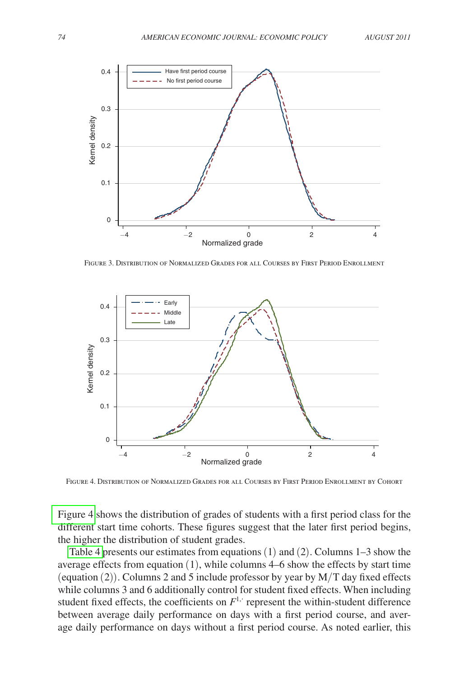<span id="page-12-0"></span>



Figure 4. Distribution of Normalized Grades for all Courses by First Period Enrollment by Cohort

Figure 4 shows the distribution of grades of students with a first period class for the different start time cohorts. These figures suggest that the later first period begins, the higher the distribution of student grades.

[Table 4](#page-13-0) presents our estimates from equations  $(1)$  and  $(2)$ . Columns 1–3 show the average effects from equation (1), while columns 4–6 show the effects by start time (equation (2)). Columns 2 and 5 include professor by year by M/T day fixed effects while columns 3 and 6 additionally control for student fixed effects. When including student fixed effects, the coefficients on  $F<sup>1</sup>$  represent the within-student difference between average daily performance on days with a first period course, and average daily performance on days without a first period course. As noted earlier, this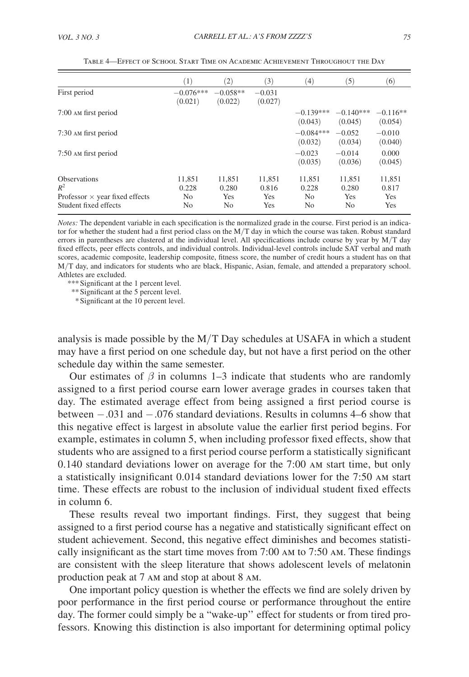<span id="page-13-0"></span>

|                                                                                                | (1)                          | $\left( 2\right)$            | (3)                                  | (4)                          | (5)                          | (6)                                  |
|------------------------------------------------------------------------------------------------|------------------------------|------------------------------|--------------------------------------|------------------------------|------------------------------|--------------------------------------|
| First period                                                                                   | $-0.076***$<br>(0.021)       | $-0.058**$<br>(0.022)        | $-0.031$<br>(0.027)                  |                              |                              |                                      |
| 7:00 AM first period                                                                           |                              |                              |                                      | $-0.139***$<br>(0.043)       | $-0.140***$<br>(0.045)       | $-0.116**$<br>(0.054)                |
| 7:30 AM first period                                                                           |                              |                              |                                      | $-0.084***$<br>(0.032)       | $-0.052$<br>(0.034)          | $-0.010$<br>(0.040)                  |
| 7:50 AM first period                                                                           |                              |                              |                                      | $-0.023$<br>(0.035)          | $-0.014$<br>(0.036)          | 0.000<br>(0.045)                     |
| <b>Observations</b><br>$R^2$<br>Professor $\times$ year fixed effects<br>Student fixed effects | 11.851<br>0.228<br>No.<br>No | 11.851<br>0.280<br>Yes<br>No | 11.851<br>0.816<br><b>Yes</b><br>Yes | 11.851<br>0.228<br>No.<br>No | 11.851<br>0.280<br>Yes<br>No | 11,851<br>0.817<br><b>Yes</b><br>Yes |

Table 4—Effect of School Start Time on Academic Achievement Throughout the Day

*Notes:* The dependent variable in each specification is the normalized grade in the course. First period is an indicator for whether the student had a first period class on the M/T day in which the course was taken. Robust standard errors in parentheses are clustered at the individual level. All specifications include course by year by M/T day fixed effects, peer effects controls, and individual controls. Individual-level controls include SAT verbal and math scores, academic composite, leadership composite, fitness score, the number of credit hours a student has on that M/T day, and indicators for students who are black, Hispanic, Asian, female, and attended a preparatory school. Athletes are excluded.

\*\*\* Significant at the 1 percent level.

\*\* Significant at the 5 percent level.

\*Significant at the 10 percent level.

analysis is made possible by the M/T Day schedules at USAFA in which a student may have a first period on one schedule day, but not have a first period on the other schedule day within the same semester.

Our estimates of  $\beta$  in columns 1–3 indicate that students who are randomly assigned to a first period course earn lower average grades in courses taken that day. The estimated average effect from being assigned a first period course is between −.031 and −.076 standard deviations. Results in columns 4–6 show that this negative effect is largest in absolute value the earlier first period begins. For example, estimates in column 5, when including professor fixed effects, show that students who are assigned to a first period course perform a statistically significant 0.140 standard deviations lower on average for the 7:00 am start time, but only a statistically insignificant 0.014 standard deviations lower for the 7:50 am start time. These effects are robust to the inclusion of individual student fixed effects in column 6.

These results reveal two important findings. First, they suggest that being assigned to a first period course has a negative and statistically significant effect on student achievement. Second, this negative effect diminishes and becomes statistically insignificant as the start time moves from 7:00 am to 7:50 am. These findings are consistent with the sleep literature that shows adolescent levels of melatonin production peak at 7 am and stop at about 8 am.

One important policy question is whether the effects we find are solely driven by poor performance in the first period course or performance throughout the entire day. The former could simply be a "wake-up'' effect for students or from tired professors. Knowing this distinction is also important for determining optimal policy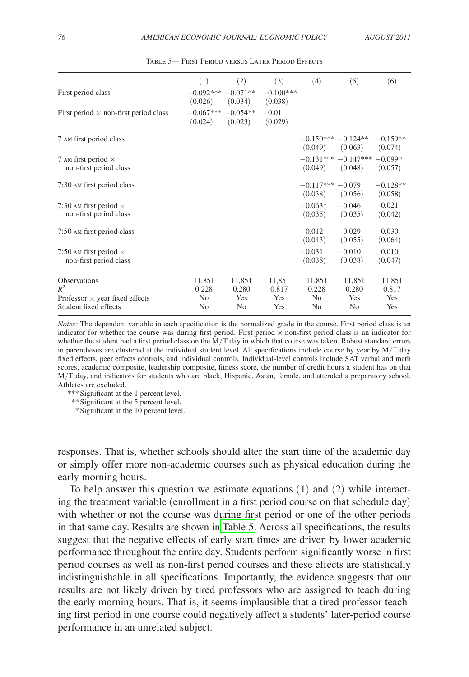| (1)                                                 | (2)                                             | (3)                                  | (4)                                      | (5)                                             | (6)                                                            |
|-----------------------------------------------------|-------------------------------------------------|--------------------------------------|------------------------------------------|-------------------------------------------------|----------------------------------------------------------------|
| $-0.092***$<br>(0.026)                              | $-0.071**$<br>(0.034)                           | $-0.100***$<br>(0.038)               |                                          |                                                 |                                                                |
| $-0.067***$<br>(0.024)                              | (0.023)                                         | $-0.01$<br>(0.029)                   |                                          |                                                 |                                                                |
|                                                     |                                                 |                                      | (0.049)                                  | $-0.124**$<br>(0.063)                           | $-0.159**$<br>(0.074)                                          |
|                                                     |                                                 |                                      | (0.049)                                  | (0.048)                                         | $-0.099*$<br>(0.057)                                           |
|                                                     |                                                 |                                      | (0.038)                                  | (0.056)                                         | $-0.128**$<br>(0.058)                                          |
|                                                     |                                                 |                                      | $-0.063*$<br>(0.035)                     | $-0.046$<br>(0.035)                             | 0.021<br>(0.042)                                               |
|                                                     |                                                 |                                      | $-0.012$<br>(0.043)                      | $-0.029$<br>(0.055)                             | $-0.030$<br>(0.064)                                            |
|                                                     |                                                 |                                      | $-0.031$<br>(0.038)                      | $-0.010$<br>(0.038)                             | 0.010<br>(0.047)                                               |
| 11.851<br>0.228<br>N <sub>0</sub><br>N <sub>0</sub> | 11.851<br>0.280<br><b>Yes</b><br>N <sub>0</sub> | 11.851<br>0.817<br><b>Yes</b><br>Yes | 11.851<br>0.228<br>No.<br>N <sub>0</sub> | 11.851<br>0.280<br><b>Yes</b><br>N <sub>0</sub> | 11.851<br>0.817<br><b>Yes</b><br>Yes                           |
|                                                     |                                                 | $-0.054**$                           |                                          |                                                 | $-0.150***$<br>$-0.131***$ $-0.147***$<br>$-0.117***$ $-0.079$ |

Table 5— First Period versus Later Period Effects

*Notes:* The dependent variable in each specification is the normalized grade in the course. First period class is an indicator for whether the course was during first period. First period  $\times$  non-first period class is an indicator for whether the student had a first period class on the  $\dot{M}/T$  day in which that course was taken. Robust standard errors in parentheses are clustered at the individual student level. All specifications include course by year by M/T day fixed effects, peer effects controls, and individual controls. Individual-level controls include SAT verbal and math scores, academic composite, leadership composite, fitness score, the number of credit hours a student has on that M/T day, and indicators for students who are black, Hispanic, Asian, female, and attended a preparatory school. Athletes are excluded.

\*\*\* Significant at the 1 percent level.

\*\* Significant at the 5 percent level.

\*Significant at the 10 percent level.

responses. That is, whether schools should alter the start time of the academic day or simply offer more non-academic courses such as physical education during the early morning hours.

To help answer this question we estimate equations (1) and (2) while interacting the treatment variable (enrollment in a first period course on that schedule day) with whether or not the course was during first period or one of the other periods in that same day. Results are shown in Table 5. Across all specifications, the results suggest that the negative effects of early start times are driven by lower academic performance throughout the entire day. Students perform significantly worse in first period courses as well as non-first period courses and these effects are statistically indistinguishable in all specifications. Importantly, the evidence suggests that our results are not likely driven by tired professors who are assigned to teach during the early morning hours. That is, it seems implausible that a tired professor teaching first period in one course could negatively affect a students' later-period course performance in an unrelated subject.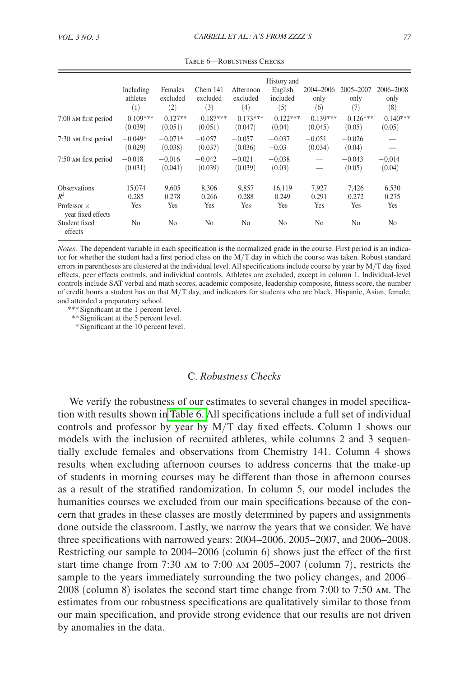<span id="page-15-0"></span>

|                                                                          | Including<br>athletes<br>(1) | Females<br>excluded<br>$\left( 2\right)$ | Chem 141<br>excluded<br>(3) | Afternoon<br>excluded<br>(4) | History and<br>English<br>included<br>(5) | 2004–2006<br>only<br>(6) | 2005-2007<br>only<br>(7) | 2006–2008<br>only<br>(8) |
|--------------------------------------------------------------------------|------------------------------|------------------------------------------|-----------------------------|------------------------------|-------------------------------------------|--------------------------|--------------------------|--------------------------|
| 7:00 AM first period                                                     | $-0.109***$<br>(0.039)       | $-0.127**$<br>(0.051)                    | $-0.187***$<br>(0.051)      | $-0.173***$<br>(0.047)       | $-0.122***$<br>(0.04)                     | $-0.139***$<br>(0.045)   | $-0.126***$<br>(0.05)    | $-0.140***$<br>(0.05)    |
| 7:30 AM first period                                                     | $-0.049*$<br>(0.029)         | $-0.071*$<br>(0.038)                     | $-0.057$<br>(0.037)         | $-0.057$<br>(0.036)          | $-0.037$<br>$-0.03$                       | $-0.051$<br>(0.034)      | $-0.026$<br>(0.04)       |                          |
| 7:50 AM first period                                                     | $-0.018$<br>(0.031)          | $-0.016$<br>(0.041)                      | $-0.042$<br>(0.039)         | $-0.021$<br>(0.039)          | $-0.038$<br>(0.03)                        |                          | $-0.043$<br>(0.05)       | $-0.014$<br>(0.04)       |
| <b>Observations</b><br>$R^2$<br>Professor $\times$<br>year fixed effects | 15,074<br>0.285<br>Yes       | 9.605<br>0.278<br>Yes                    | 8.306<br>0.266<br>Yes       | 9.857<br>0.288<br>Yes        | 16,119<br>0.249<br>Yes                    | 7.927<br>0.291<br>Yes    | 7.426<br>0.272<br>Yes    | 6,530<br>0.275<br>Yes    |
| Student fixed<br>effects                                                 | N <sub>o</sub>               | N <sub>0</sub>                           | N <sub>0</sub>              | N <sub>0</sub>               | N <sub>0</sub>                            | N <sub>0</sub>           | N <sub>0</sub>           | N <sub>0</sub>           |

Table 6—Robustness Checks

*Notes:* The dependent variable in each specification is the normalized grade in the course. First period is an indicator for whether the student had a first period class on the M/T day in which the course was taken. Robust standard errors in parentheses are clustered at the individual level. All specifications include course by year by M/T day fixed effects, peer effects controls, and individual controls. Athletes are excluded, except in column 1. Individual-level controls include SAT verbal and math scores, academic composite, leadership composite, fitness score, the number of credit hours a student has on that M/T day, and indicators for students who are black, Hispanic, Asian, female, and attended a preparatory school.

\*\*\* Significant at the 1 percent level.

\*\* Significant at the 5 percent level.

\*Significant at the 10 percent level.

## C. *Robustness Checks*

We verify the robustness of our estimates to several changes in model specification with results shown in Table 6. All specifications include a full set of individual controls and professor by year by M/T day fixed effects. Column 1 shows our models with the inclusion of recruited athletes, while columns 2 and 3 sequentially exclude females and observations from Chemistry 141. Column 4 shows results when excluding afternoon courses to address concerns that the make-up of students in morning courses may be different than those in afternoon courses as a result of the stratified randomization. In column 5, our model includes the humanities courses we excluded from our main specifications because of the concern that grades in these classes are mostly determined by papers and assignments done outside the classroom. Lastly, we narrow the years that we consider. We have three specifications with narrowed years: 2004–2006, 2005–2007, and 2006–2008. Restricting our sample to 2004–2006 (column 6) shows just the effect of the first start time change from 7:30 am to 7:00 am 2005–2007 (column 7), restricts the sample to the years immediately surrounding the two policy changes, and 2006– 2008 (column 8) isolates the second start time change from 7:00 to 7:50 am. The estimates from our robustness specifications are qualitatively similar to those from our main specification, and provide strong evidence that our results are not driven by anomalies in the data.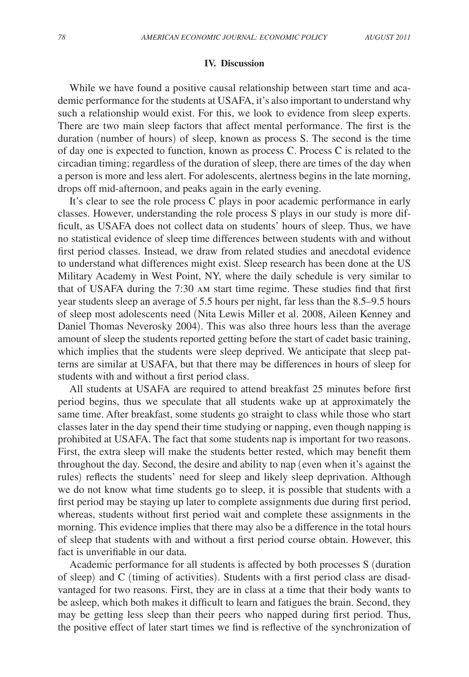### **IV. Discussion**

<span id="page-16-0"></span>While we have found a positive causal relationship between start time and academic performance for the students at USAFA, it's also important to understand why such a relationship would exist. For this, we look to evidence from sleep experts. There are two main sleep factors that affect mental performance. The first is the duration (number of hours) of sleep, known as process S. The second is the time of day one is expected to function, known as process C. Process C is related to the circadian timing; regardless of the duration of sleep, there are times of the day when a person is more and less alert. For adolescents, alertness begins in the late morning, drops off mid-afternoon, and peaks again in the early evening.

It's clear to see the role process C plays in poor academic performance in early classes. However, understanding the role process S plays in our study is more difficult, as USAFA does not collect data on students' hours of sleep. Thus, we have no statistical evidence of sleep time differences between students with and without first period classes. Instead, we draw from related studies and anecdotal evidence to understand what differences might exist. Sleep research has been done at the US Military Academy in West Point, NY, where the daily schedule is very similar to that of USAFA during the 7:30 am start time regime. These studies find that first year students sleep an average of 5.5 hours per night, far less than the 8.5–9.5 hours of sleep most adolescents need (Nita Lewis Miller et al. 2008, Aileen Kenney and Daniel Thomas Neverosky 2004). This was also three hours less than the average amount of sleep the students reported getting before the start of cadet basic training, which implies that the students were sleep deprived. We anticipate that sleep patterns are similar at USAFA, but that there may be differences in hours of sleep for students with and without a first period class.

All students at USAFA are required to attend breakfast 25 minutes before first period begins, thus we speculate that all students wake up at approximately the same time. After breakfast, some students go straight to class while those who start classes later in the day spend their time studying or napping, even though napping is prohibited at USAFA. The fact that some students nap is important for two reasons. First, the extra sleep will make the students better rested, which may benefit them throughout the day. Second, the desire and ability to nap (even when it's against the rules) reflects the students' need for sleep and likely sleep deprivation. Although we do not know what time students go to sleep, it is possible that students with a first period may be staying up later to complete assignments due during first period, whereas, students without first period wait and complete these assignments in the morning. This evidence implies that there may also be a difference in the total hours of sleep that students with and without a first period course obtain. However, this fact is unverifiable in our data.

Academic performance for all students is affected by both processes S (duration of sleep) and C (timing of activities). Students with a first period class are disadvantaged for two reasons. First, they are in class at a time that their body wants to be asleep, which both makes it difficult to learn and fatigues the brain. Second, they may be getting less sleep than their peers who napped during first period. Thus, the positive effect of later start times we find is reflective of the synchronization of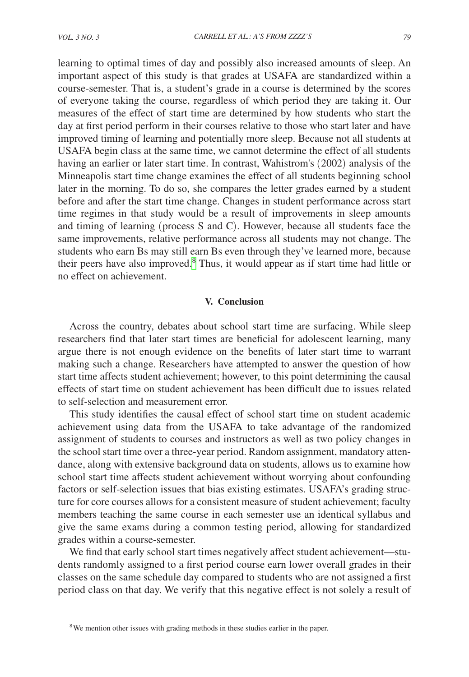<span id="page-17-0"></span>learning to optimal times of day and possibly also increased amounts of sleep. An important aspect of this study is that grades at USAFA are standardized within a course-semester. That is, a student's grade in a course is determined by the scores of everyone taking the course, regardless of which period they are taking it. Our measures of the effect of start time are determined by how students who start the day at first period perform in their courses relative to those who start later and have improved timing of learning and potentially more sleep. Because not all students at USAFA begin class at the same time, we cannot determine the effect of all students having an earlier or later start time. In contrast, Wahistrom's (2002) analysis of the Minneapolis start time change examines the effect of all students beginning school later in the morning. To do so, she compares the letter grades earned by a student before and after the start time change. Changes in student performance across start time regimes in that study would be a result of improvements in sleep amounts and timing of learning (process S and C). However, because all students face the same improvements, relative performance across all students may not change. The students who earn Bs may still earn Bs even through they've learned more, because their peers have also improved.<sup>[8](#page-17-1)</sup> Thus, it would appear as if start time had little or no effect on achievement.

## **V. Conclusion**

Across the country, debates about school start time are surfacing. While sleep researchers find that later start times are beneficial for adolescent learning, many argue there is not enough evidence on the benefits of later start time to warrant making such a change. Researchers have attempted to answer the question of how start time affects student achievement; however, to this point determining the causal effects of start time on student achievement has been difficult due to issues related to self-selection and measurement error.

This study identifies the causal effect of school start time on student academic achievement using data from the USAFA to take advantage of the randomized assignment of students to courses and instructors as well as two policy changes in the school start time over a three-year period. Random assignment, mandatory attendance, along with extensive background data on students, allows us to examine how school start time affects student achievement without worrying about confounding factors or self-selection issues that bias existing estimates. USAFA's grading structure for core courses allows for a consistent measure of student achievement; faculty members teaching the same course in each semester use an identical syllabus and give the same exams during a common testing period, allowing for standardized grades within a course-semester.

We find that early school start times negatively affect student achievement—students randomly assigned to a first period course earn lower overall grades in their classes on the same schedule day compared to students who are not assigned a first period class on that day. We verify that this negative effect is not solely a result of

<span id="page-17-1"></span><sup>&</sup>lt;sup>8</sup>We mention other issues with grading methods in these studies earlier in the paper.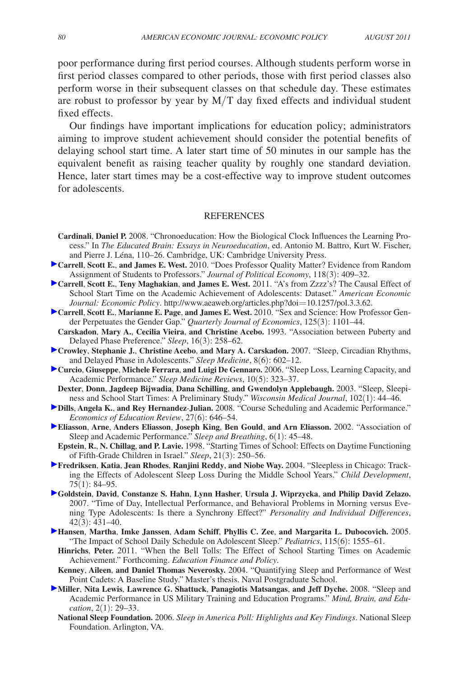<span id="page-18-0"></span>poor performance during first period courses. Although students perform worse in first period classes compared to other periods, those with first period classes also perform worse in their subsequent classes on that schedule day. These estimates are robust to professor by year by M/T day fixed effects and individual student fixed effects.

Our findings have important implications for education policy; administrators aiming to improve student achievement should consider the potential benefits of delaying school start time. A later start time of 50 minutes in our sample has the equivalent benefit as raising teacher quality by roughly one standard deviation. Hence, later start times may be a cost-effective way to improve student outcomes for adolescents.

#### **REFERENCES**

- **Cardinali**, **Daniel P.** 2008. "Chronoeducation: How the Biological Clock Influences the Learning Process." In *The Educated Brain: Essays in Neuroeducation*, ed. Antonio M. Battro, Kurt W. Fischer, and Pierre J. Léna, 110–26. Cambridge, UK: Cambridge University Press.
- **Carrell**, **Scott E.**, **and James E. West.** 2010. "Does Professor Quality Matter? Evidence from Random Assignment of Students to Professors." *Journal of Political Economy*, 118(3): 409–32.
- **Carrell**, **Scott E.**, **Teny Maghakian**, **and James E. West.** 2011. "A's from Zzzz's? The Causal Effect of School Start Time on the Academic Achievement of Adolescents: Dataset." *American Economic Journal: Economic Policy*. [http://www.aeaweb.org/articles.php?doi](http://www.aeaweb.org/articles.php?doi=10.1257/pol.3.3.62)=10.1257/pol.3.3.62.
- **Carrell**, **Scott E.**, **Marianne E. Page**, **and James E. West.** 2010. "Sex and Science: How Professor Gender Perpetuates the Gender Gap." *Quarterly Journal of Economics*, 125(3): 1101–44.
- **Carskadon**, **Mary A.**, **Cecilia Vieira**, **and Christine Acebo.** 1993. "Association between Puberty and Delayed Phase Preference." *Sleep*, 16(3): 258–62.
- **Crowley**, **Stephanie J.**, **Christine Acebo**, **and Mary A. Carskadon.** 2007. "Sleep, Circadian Rhythms, and Delayed Phase in Adolescents." *Sleep Medicine*, 8(6): 602–12.
- **Curcio**, **Giuseppe**, **Michele Ferrara**, **and Luigi De Gennaro.** 2006. "Sleep Loss, Learning Capacity, and Academic Performance." *Sleep Medicine Reviews*, 10(5): 323–37.
- **Dexter**, **Donn**, **Jagdeep Bijwadia**, **Dana Schilling**, **and Gwendolyn Applebaugh.** 2003. "Sleep, Sleepiness and School Start Times: A Preliminary Study." *Wisconsin Medical Journal*, 102(1): 44–46.
- **Dills**, **Angela K.**, **and Rey Hernandez**-**Julian.** 2008. "Course Scheduling and Academic Performance." *Economics of Education Review*, 27(6): 646–54.
- **Eliasson**, **Arne**, **Anders Eliasson**, **Joseph King**, **Ben Gould**, **and Arn Eliasson.** 2002. "Association of Sleep and Academic Performance." *Sleep and Breathing*, 6(1): 45–48.
- **Epstein**, **R.**, **N. Chillag**, **and P. Lavie.** 1998. "Starting Times of School: Effects on Daytime Functioning of Fifth-Grade Children in Israel." *Sleep*, 21(3): 250–56.
- **Fredriksen**, **Katia**, **Jean Rhodes**, **Ranjini Reddy**, **and Niobe Way.** 2004. "Sleepless in Chicago: Tracking the Effects of Adolescent Sleep Loss During the Middle School Years." *Child Development*, 75(1): 84–95.
- **Goldstein**, **David**, **Constanze S. Hahn**, **Lynn Hasher**, **Ursula J. Wiprzycka**, **and Philip David Zelazo.**  2007. "Time of Day, Intellectual Performance, and Behavioral Problems in Morning versus Evening Type Adolescents: Is there a Synchrony Effect?" *Personality and Individual Differences*, 42(3): 431–40.
- **Hansen**, **Martha**, **Imke Janssen**, **Adam Schiff**, **Phyllis C. Zee**, **and Margarita L. Dubocovich.** 2005. "The Impact of School Daily Schedule on Adolescent Sleep." *Pediatrics*, 115(6): 1555–61.
- **Hinrichs**, **Peter.** 2011. "When the Bell Tolls: The Effect of School Starting Times on Academic Achievement." Forthcoming. *Education Finance and Policy*.
- **Kenney**, **Aileen**, **and Daniel Thomas Neverosky.** 2004. "Quantifying Sleep and Performance of West Point Cadets: A Baseline Study." Master's thesis. Naval Postgraduate School.
- **Miller**, **Nita Lewis**, **Lawrence G. Shattuck**, **Panagiotis Matsangas**, **and Jeff Dyche.** 2008. "Sleep and Academic Performance in US Military Training and Education Programs." *Mind, Brain, and Education*, 2(1): 29–33.
	- **National Sleep Foundation.** 2006. *Sleep in America Poll: Highlights and Key Findings*. National Sleep Foundation. Arlington, VA.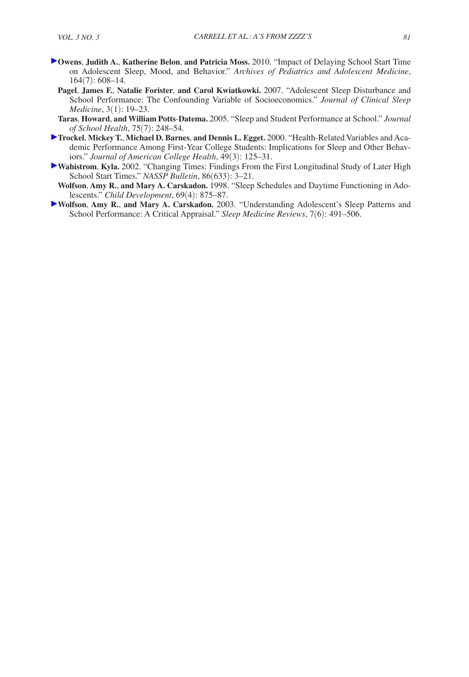- **Owens**, **Judith A.**, **Katherine Belon**, **and Patricia Moss.** 2010. "Impact of Delaying School Start Time on Adolescent Sleep, Mood, and Behavior." *Archives of Pediatrics and Adolescent Medicine*, 164(7): 608–14.
	- **Pagel**, **James F.**, **Natalie Forister**, **and Carol Kwiatkowki.** 2007. "Adolescent Sleep Disturbance and School Performance: The Confounding Variable of Socioeconomics." *Journal of Clinical Sleep Medicine*, 3(1): 19–23.
	- **Taras**, **Howard**, **and William Potts**-**Datema.** 2005. "Sleep and Student Performance at School." *Journal of School Health*, 75(7): 248–54.
- **Trockel**, **Mickey T.**, **Michael D. Barnes**, **and Dennis L. Egget.** 2000. "Health-Related Variables and Academic Performance Among First-Year College Students: Implications for Sleep and Other Behaviors." *Journal of American College Health*, 49(3): 125–31.
- **Wahistrom**, **Kyla.** 2002. "Changing Times: Findings From the First Longitudinal Study of Later High School Start Times." *NASSP Bulletin*, 86(633): 3–21.
- **Wolfson**, **Amy R.**, **and Mary A. Carskadon.** 1998. "Sleep Schedules and Daytime Functioning in Adolescents." *Child Development*, 69(4): 875–87.
- **Wolfson**, **Amy R.**, **and Mary A. Carskadon.** 2003. "Understanding Adolescent's Sleep Patterns and School Performance: A Critical Appraisal." *Sleep Medicine Reviews*, 7(6): 491–506.